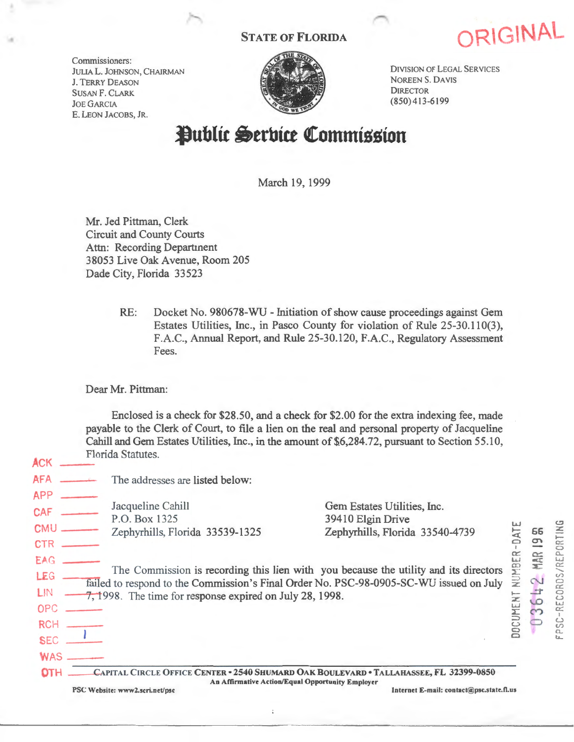Commissioners: JULIA L. JOHNSON, CHAIRMAN *1.* TERRY DEASON SUSAN F. CLARK JOE GARCIA E. LEON JACOBS, JR.



STATE OF FLORIDA **ORIGINAL** 

DIVISION OF LEGAL SERVICES NOREEN S. DAVIS **DIRECTOR** (850) 413-6199

# Public Serbice Commission

March 19, 1999

Mr. Jed Pittman, Clerk Circuit and County Courts Attn: Recording Department 38053 Live Oak Avenue, Room 205 Dade City, Florida 33523

> RE: Docket No. 980678-WU - Initiation of show cause proceedings against Gem Estates Utilities, Inc., in Pasco County for violation of Rule 25-30.110(3), F.A.C., Annual Report, and Rule 25-30.120, F.A.C., Regulatory Assessment Fees.

Dear Mr. Pittman:

ACK

Enclosed is a check for \$28.50, and a check for \$2.00 for the extra indexing fee, made payable to the Clerk of Court, to file a lien on the real and personal property of Jacqueline Cahill and Gem Estates Utilities, Inc., in the amount of \$6,284.72, pursuant to Section 55.10, Florida Statutes.

| nui                                           |                                                                                                                                                                                                                                            |                                                                                              |                          |     |                                              |
|-----------------------------------------------|--------------------------------------------------------------------------------------------------------------------------------------------------------------------------------------------------------------------------------------------|----------------------------------------------------------------------------------------------|--------------------------|-----|----------------------------------------------|
| <b>AFA</b>                                    | The addresses are listed below:                                                                                                                                                                                                            |                                                                                              |                          |     |                                              |
| <b>APP</b><br><b>CAF</b><br>CMU<br>CTR        | Jacqueline Cahill<br>P.O. Box 1325<br>Zephyrhills, Florida 33539-1325                                                                                                                                                                      | Gem Estates Utilities, Inc.<br>39410 Elgin Drive<br>Zephyrhills, Florida 33540-4739          |                          | 66  |                                              |
| EAG<br>LEG<br>OPC<br><b>RCH</b><br><b>SEC</b> | The Commission is recording this lien with you because the utility and its directors<br>failed to respond to the Commission's Final Order No. PSC-98-0905-SC-WU issued on July<br>7, 1998. The time for response expired on July 28, 1998. |                                                                                              | NUMBER<br><b>OCUMENT</b> | MAR | RECORDS/REPORTING<br>္ဘ<br>$\Omega_{\rm sc}$ |
| <b>WAS</b>                                    |                                                                                                                                                                                                                                            | CAPITAL CIRCLE OFFICE CENTER ~2540 SHUMARD OAK BOULEVARD • TALLAHASSEE, FL 32399-6850        |                          |     |                                              |
|                                               | PSC Website: www2.scri.net/psc                                                                                                                                                                                                             | An Affirmative Action/Equal Opportunity Employer<br>Internet E-mail: contact@psc.state.fl.us |                          |     |                                              |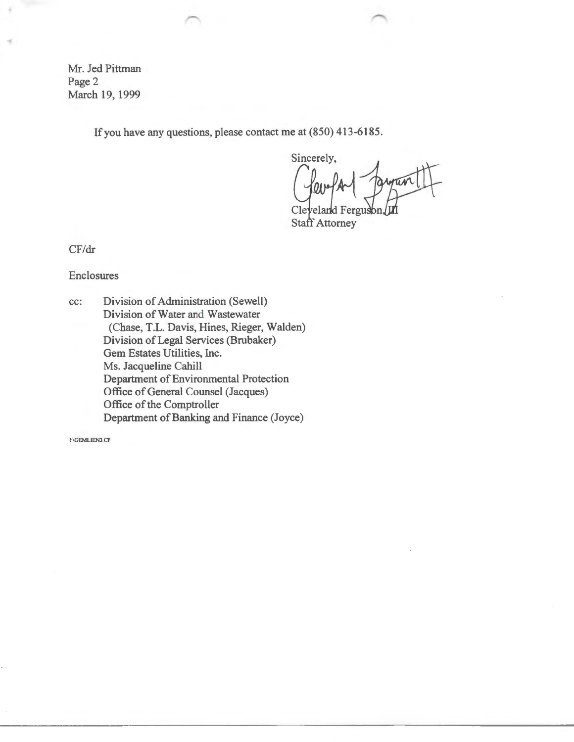Mr. Jed Pittman Page 2 March 19, 1999

•

If you have any questions, please contact me at (850) 413-6185.

Sincerely, Cleveland F

**Staff Attorney** 

CF/dr

Enclosures

cc: Division of Administration (Sewell) Division of Water and Wastewater (Chase, T.L. Davis, Hines, Rieger, Walden) Division of Legal Services (Brubaker) Gem Estates Utilities, Inc. Ms. Jacqueline Cahill Department of Environmental Protection Office of General Counsel (Jacques) Office of the Comptroller Department of Banking and Finance (Joyce)

I:\GEMLIEN3.CF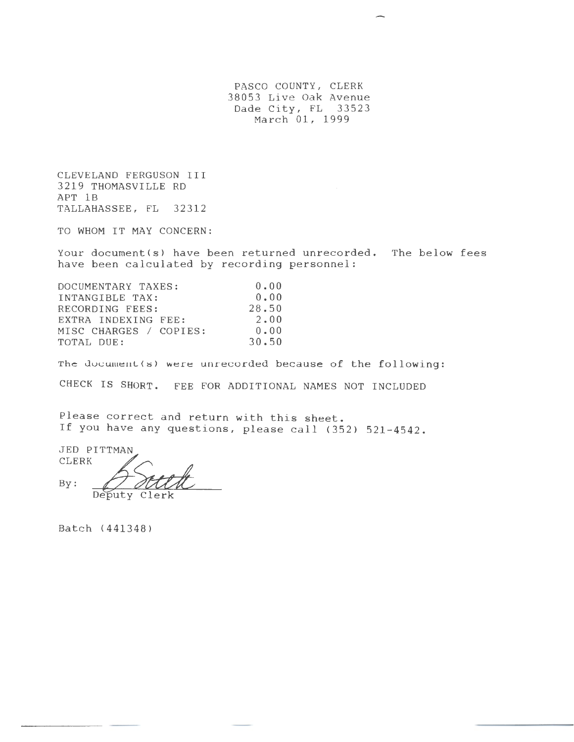PASCO COUNTY, CLERK 38053 Live Oak Avenue Dade City, FL 33523 March 01, 1999

CLEVELAND FERGUSON III 3219 THOMASVILLE RD APT 1B TALLAHASSEE, FL 32312

TO WHOM IT MAY CONCERN:

Your document(s) have been returned unrecorded. The below fees have been calculated by recording personnel:

| DOCUMENTARY TAXES:     | 0.00  |
|------------------------|-------|
| INTANGIBLE TAX:        | 0.00  |
| RECORDING FEES:        | 28.50 |
| EXTRA INDEXING FEE:    | 2.00  |
| MISC CHARGES / COPIES: | 0.00  |
| TOTAL DUE:             | 30.50 |

The document(s) were unrecorded because of the following:

CHECK IS SHORT. FEE FOR ADDITIONAL NAMES NOT INCLUDED

Please correct and return with this sheet. If you have any questions, please call (352) 521-4542.

JED PITTMAN CLERK **Steel** Deputy Clerk

Batch (441348)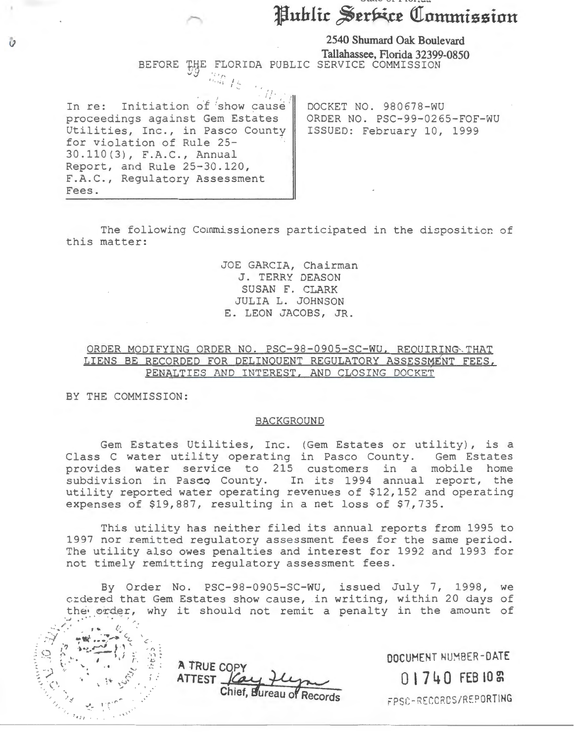# Public Serbice Commission

**l) 2540 Shumard Oak Boulevard Tallahassee, Florida 32399-0850**  BEFORE tijE FLORIDA PUBLIC SERVICE COMMISSION *vJ* . ·,, , , . <sup>I</sup> ' • I ::

 $\frac{1}{2}$ .

In re: Initiation of show cause proceedings against Gem Estates Utilities, Inc., in Pasco County for violation of Rule 25- 30.110(3), F.A.C., Annual Report, and Rule 25-30.120, F.A.C., Regulatory Assessment Fees.

DOCKET NO. 980678-WU ORDER NO. PSC-99-0265-FOF-WU ISSUED: February 10, 1999

The following Commissioners participated in the disposition of this matter:

> JOE GARCIA, Chairman J. TERRY DEASON SUSAN F. CLARK JULIA L. JOHNSON E. LEON JACOBS, JR.

# ORDER MODIFYING ORDER NO. PSC-98-0905-SC-WU, REOUIRING THAT LIENS BE RECORDED FOR DELINQUENT REGULATORY ASSESSMENT FEES, PENALTIES AND INTEREST, AND CLOSING DOCKET

BY THE COMMISSION:

### BACKGROUND

Gem Estates Utilities, Inc. (Gem Estates or utility), is a Class C water utility operating in Pasco County. Gem Estates provides water service to 215 customers in a mobile home subdivision in Pasco County. In its 1994 annual report, the utility reported water operating revenues of \$12,152 and operating expenses of \$19,887, resulting in a net loss of \$7,735.

This utility has neither filed its annual reports from 1995 to 1997 nor remitted regulatory assessment fees for the same period. The utility also owes penalties and interest for 1992 and 1993 for not timely remitting regulatory assessment fees.

By Order No. PSC-98-0905-SC-WU, issued July 7, 1998, we crdered that Gem Estates show cause, in writing, within 20 days of the order, why it should not remit a penalty in the amount of



**A TRUE COPY**  Chief, Bureau o

**DOCUMENT** NU~BER **-DATE 0 l 7 4 0 FEB I 0 m** 

;psc -RECC?CS/REPORTING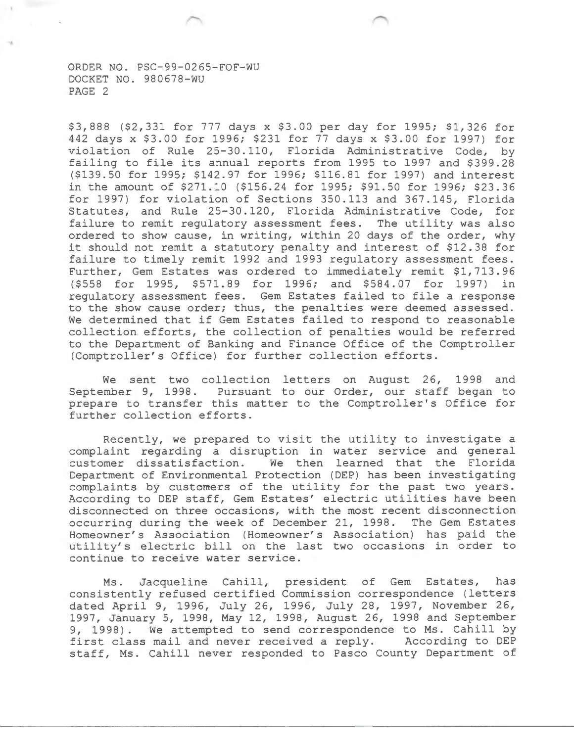\$3,888 (\$2,331 for 777 days x \$3.00 per day for 1995; \$1,326 for 442 days x \$3.00 for 1996; \$231 for 77 days x \$3.00 for 1997) for violation of Rule 25-30.110, Florida Administrative Code, by failing to file its annual reports from 1995 to 1997 and \$399.28 (\$139.50 for 1995; \$142.97 for 1996; \$116.81 for 1997) and interest in the amount of \$271.10 (\$156.24 for 1995; \$91.50 for 1996; \$23.36 for 1997) for violation of Sections 350.113 and 367.145, Florida Statutes, and Rule 25-30.120, Florida Administrative Code, for failure to remit regulatory assessment fees. The utility was also ordered to show cause, in writing, within 20 days of the order, why it should not remit a statutory penalty and interest of \$12.38 for failure to timely remit 1992 and 1993 regulatory assessment fees. Further, Gem Estates was ordered to immediately remit \$1,713.96 (\$558 for 1995, \$571.89 for 1996; and \$584.07 for 1997) in regulatory assessment fees. Gem Estates failed to file a response to the show cause order; thus, the penalties were deemed assessed. We determined that if Gem Estates failed to respond to reasonable collection efforts, the collection of penalties would be referred to the Department of Banking and Finance Office of the Comptroller (Comptroller's Office) for further collection efforts.

We sent two collection letters on August 26, 1998 and September 9, 1998. Pursuant to our Order, our staff began to prepare to transfer this matter to the Comptroller's Office for further collection efforts.

Recently, we prepared to visit the utility to investigate a complaint regarding a disruption in water service and general customer dissatisfaction. We then learned that the Florida Department of Environmental Protection (DEP) has been investigating complaints by customers of the utility for the past two years. According to DEP staff, Gem Estates' electric utilities have been disconnected on three occasions, with the most recent disconnection occurring during the week of December 21, 1998. The Gem Estates Homeowner's Association (Homeowner's Association) has paid the utility's electric bill on the last two occasions in order to continue to receive water service.

Ms. Jacqueline Cahill, president of Gem Estates, has consistently refused certified Commission correspondence (letters dated April 9, 1996, July 26, 1996, July 28, 1997, November 26, 1997, January 5, 1998, May 12, 1998, August 26, 1998 and September 9, 1998). We attempted to send correspondence to Ms. Cahill by first class mail and never received a reply. According to DEP staff, Ms. Cahill never responded to Pasco County Department of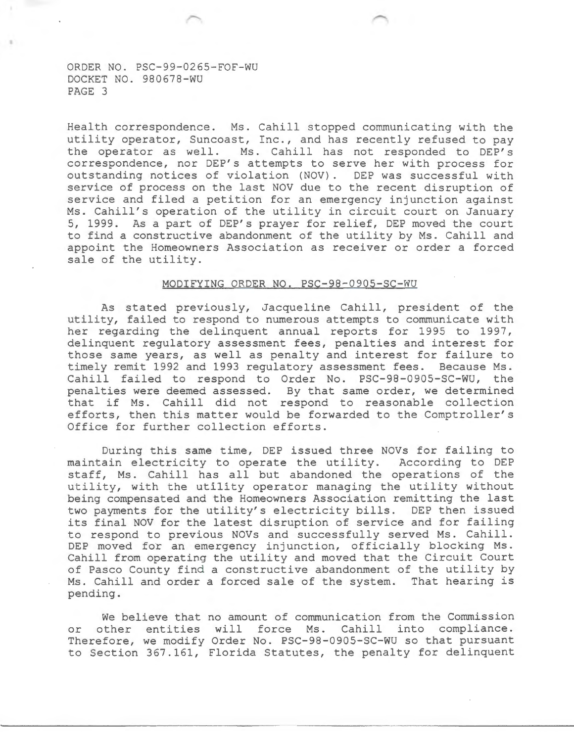Health correspondence. Ms. Cahill stopped communicating with the utility operator, Suncoast, Inc., and has recently refused to pay the operator as well. Ms. Cahill has not responded to DEP's correspondence, nor DEP's attempts to serve her with process for outstanding notices of violation (NOV). DEP was successful with service of process on the last NOV due to the recent disruption of service and filed a petition for an emergency injunction against Ms. Cahill's operation of the utility in circuit court on January 5, 1999. As a part of DEP's prayer for relief, DEP moved the court to find a constructive abandonment of the utility by Ms. Cahill and appoint the Homeowners Association as receiver or order a forced sale of the utility.

## MODIFYING ORDER NO. PSC-98-0905-SC-WU

As stated previously, Jacqueline Cahill, president of the utility, failed to respond to numerous attempts to communicate with her regarding the delinquent annual reports for 1995 to 1997, delinquent regulatory assessment fees, penalties and interest for those same years, as well as penalty and interest for failure to timely remit 1992 and 1993 regulatory assessment fees. Because Ms. Cahill failed to respond to Order No. PSC-98-0905-SC-WU, the penalties were deemed assessed. By that same order, we determined that if Ms. Cahill did not respond to reasonable collection efforts, then this matter would be forwarded to the Comptroller's Office for further collection efforts.

During this same time, DEP issued three NOVs for failing to maintain electricity to operate the utility. According to DEP staff, Ms. Cahill has all but abandoned the operations of the utility, with the utility operator managing the utility without being compensated and the Homeowners Association remitting the last<br>two payments for the utility's electricity bills. DEP then issued two payments for the utility's electricity bills. its final NOV for the latest disruption of service and for failing to respond to previous NOVs and successfully served Ms. Cahill. DEP moved for an emergency injunction, officially blocking Ms. Cahill from operating the utility and moved that the Circuit Court of Pasco County find a constructive abandonment of the utility by Ms. Cahill and order a forced sale of the system. That hearing is pending.

We believe that no amount of communication from the Commission or other entities will force Ms. Cahill into compliance. Therefore, we modify Order No. PSC-98-0905-SC-WU so that pursuant to Section 367.161, Florida Statutes, the penalty for delinquent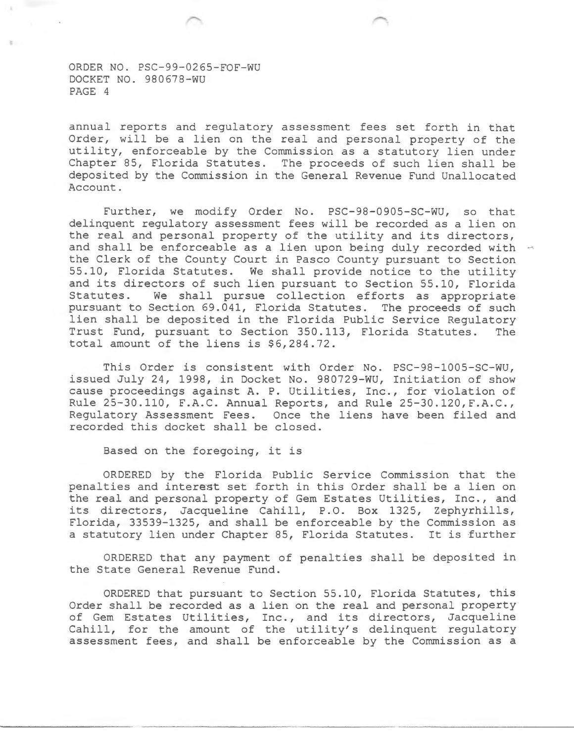annual reports and regulatory assessment fees set forth in that Order, will be a lien on the real and personal property of the utility, enforceable by the Commission as a statutory lien under Chapter 85, Florida Statutes. The proceeds of such lien shall be deposited by the Commission in the General Revenue Fund Unallocated Account.

Further, we modify Order No. PSC-98-0905-SC-WU, so that delinquent regulatory assessment fees will be recorded as a lien on the real and personal property of the utility and its directors, and shall be enforceable as a lien upon being duly recorded with the Clerk of the County Court in Pasco County pursuant to Section 55.10, Florida Statutes. We shall provide notice to the utility and its directors of such lien pursuant to Section 55.10, Florida<br>Statutes. We shall pursue collection efforts as appropriate We shall pursue collection efforts as appropriate pursuant to Section 69.041, Florida Statutes. The proceeds of such lien shall be deposited in the Florida Public Service Regulatory Trust Fund, pursuant to Section 350.113, Florida Statutes. The total amount of the liens is \$6,284.72.

This Order is consistent with Order No. PSC-98-1005-SC-WU, issued July 24, 1998, in Docket No. 980729-WU, Initiation of show cause proceedings against A. P. Utilities, Inc., for violation of Rule 25-30.110, F.A.C. Annual Reports, and Rule 25-30.120,F.A.C., Regulatory Assessment Fees. Once the liens have been filed and recorded this docket shall be closed.

Based on the foregoing, it is

ORDERED by the Florida Public Service Commission that the penalties and interest set forth in this Order shall be a lien on the real and personal property of Gem Estates Utilities, Inc., and its directors, Jacqueline Cahill, P.O. Box 1325, Zephyrhills, Florida, 33539-1325, and shall be enforceable by the Commission as a statutory lien under Chapter 85, Florida Statutes. It is further

ORDERED that any payment of penalties shall be deposited in the State General Revenue Fund.

ORDERED that pursuant to Section 55.10, Florida Statutes, this Order shall be recorded as a lien on the real and personal property of Gem Estates Utili ties *1* Inc. *1* and its directors, Jacqueline Cahill, for the amount of the utility's delinquent regulatory assessment fees, and shall be enforceable by the Commission as a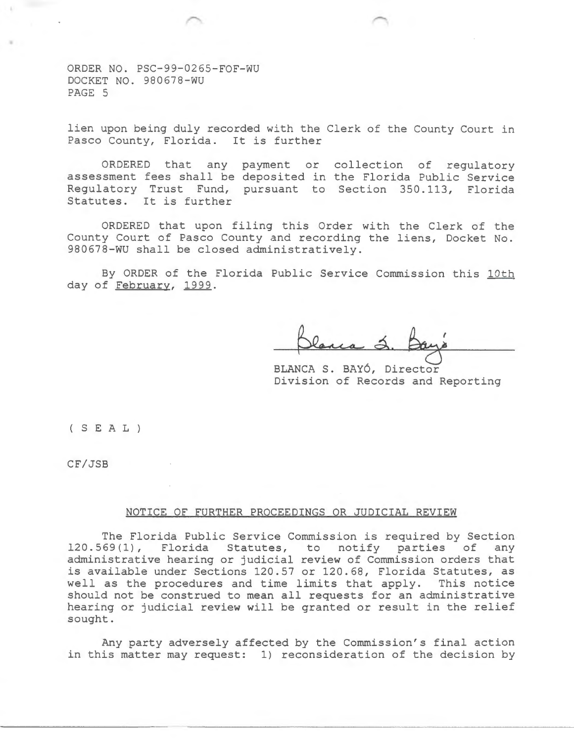lien upon being duly recorded with the Clerk of the County Court in Pasco County, Florida. It is further

ORDERED that any payment or collection of regulatory assessment fees shall be deposited in the Florida Public Service Regulatory Trust Fund, pursuant to Section 350.113, Florida Statutes. It is further

ORDERED that upon filing this Order with the Clerk of the County Court of Pasco County and recording the liens, Docket No. 980678-WU shall be closed administratively.

By ORDER of the Florida Public Service Commission this 10th day of February, 1999.

BLANCA S. BAY6, Director Division of Records and Reporting

( S E A L )

CF/JSB

### NOTICE OF FURTHER PROCEEDINGS OR JUDICIAL REVIEW

The Florida Public Service Commission is required by Section 120.569(1), Florida Statutes, to notify parties of any Florida Statutes, to notify parties of any administrative hearing or judicial review of Commission orders that is available under Sections 120.57 or 120.68, Florida Statutes, as well as the procedures and time limits that apply. This notice should not be construed to mean all requests for an administrative hearing or judicial review will be granted or result in the relief sought.

Any party adversely affected by the Commission's final action in this matter may request: 1) reconsideration of the decision by